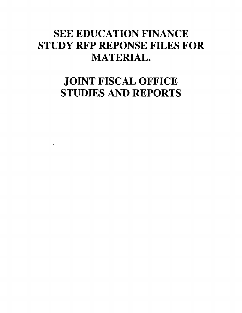# **SEE EDUCATION FINANCE STUDY RFP REPONSE FILES FOR MATERIAL.**

# **JOINT FISCAL OFFICE STUDIES AND REPORTS**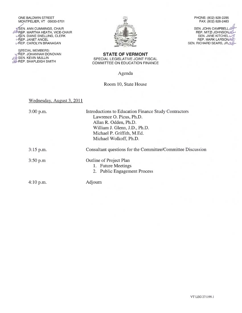#### ONE BALDWIN STREET MONTPELIER, VT 05633-5701

*4***SEN. ANN CUMMINGS, CHAIR** *GU* REP. MARTHA HEATH, VICE-CHAIR CHAIR AND REALLING, CLERK **AEP. JANET ANCEL** LAEP. CAROLYN BRANAGAN

SPECIAL MEMBERS: LAEP. JOHANNAH DONOVAN SEN. KEVIN MULLIN EP. SHAPLEIGH SMITH



PHONE: (802) 828-2295 FAX: (802) 828-2483

SEN. JOHN CAMPBELL *Gig' ,*  REP. MITZI JOHNSONae,-- SEN. JANE KITCHEL $\mathcal{U}$ REP. MITZI JOHNSON<br>SEN. JANE KITCHEL<br>REP. MARK LARSON<br>RICHARD SEARS IR Q SEN. RICHARD SEARS, JR *alle* 

**STATE OF VERMONT**  SPECIAL LEGISLATIVE JOINT FISCAL COMMITTEE ON EDUCATION FINANCE

Agenda

### Room 10, State House

### Wednesday, August 3, 2011

| $3:00$ p.m. | Introductions to Education Finance Study Contractors<br>Lawrence O. Picus, Ph.D.<br>Allan R. Odden, Ph.D.<br>William J. Glenn, J.D., Ph.D.<br>Michael P. Griffith, M.Ed.<br>Michael Wolkoff, Ph.D. |
|-------------|----------------------------------------------------------------------------------------------------------------------------------------------------------------------------------------------------|
| $3:15$ p.m. | Consultant questions for the Committee/Committee Discussion                                                                                                                                        |
| 3:50 p.m    | <b>Outline of Project Plan</b><br>1. Future Meetings<br>2. Public Engagement Process                                                                                                               |
| $4:10$ p.m. | Adjourn                                                                                                                                                                                            |